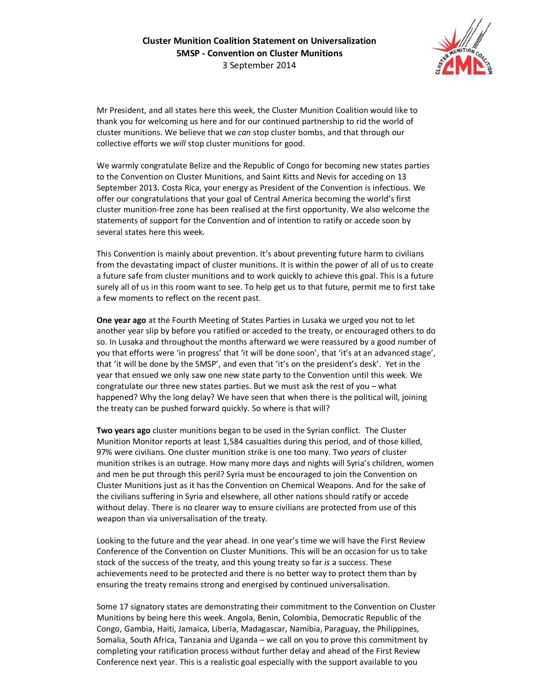

Mr President, and all states here this week, the Cluster Munition Coalition would like to thank you for welcoming us here and for our continued partnership to rid the world of cluster munitions. We believe that we *can* stop cluster bombs, and that through our collective efforts we *will* stop cluster munitions for good.

We warmly congratulate Belize and the Republic of Congo for becoming new states parties to the Convention on Cluster Munitions, and Saint Kitts and Nevis for acceding on 13 September 2013. Costa Rica, your energy as President of the Convention is infectious. We offer our congratulations that your goal of Central America becoming the world's first cluster munition-free zone has been realised at the first opportunity. We also welcome the statements of support for the Convention and of intention to ratify or accede soon by several states here this week.

This Convention is mainly about prevention. It's about preventing future harm to civilians from the devastating impact of cluster munitions. It is within the power of all of us to create a future safe from cluster munitions and to work quickly to achieve this goal. This is a future surely all of us in this room want to see. To help get us to that future, permit me to first take a few moments to reflect on the recent past.

**One year ago** at the Fourth Meeting of States Parties in Lusaka we urged you not to let another year slip by before you ratified or acceded to the treaty, or encouraged others to do so. In Lusaka and throughout the months afterward we were reassured by a good number of you that efforts were 'in progress' that 'it will be done soon', that 'it's at an advanced stage', that 'it will be done by the 5MSP', and even that 'it's on the president's desk'. Yet in the year that ensued we only saw one new state party to the Convention until this week. We congratulate our three new states parties. But we must ask the rest of you – what happened? Why the long delay? We have seen that when there is the political will, joining the treaty can be pushed forward quickly. So where is that will?

**Two years ago** cluster munitions began to be used in the Syrian conflict. The Cluster Munition Monitor reports at least 1,584 casualties during this period, and of those killed, 97% were civilians. One cluster munition strike is one too many. Two *years* of cluster munition strikes is an outrage. How many more days and nights will Syria's children, women and men be put through this peril? Syria must be encouraged to join the Convention on Cluster Munitions just as it has the Convention on Chemical Weapons. And for the sake of the civilians suffering in Syria and elsewhere, all other nations should ratify or accede without delay. There is no clearer way to ensure civilians are protected from use of this weapon than via universalisation of the treaty.

Looking to the future and the year ahead. In one year's time we will have the First Review Conference of the Convention on Cluster Munitions. This will be an occasion for us to take stock of the success of the treaty, and this young treaty so far *is* a success. These achievements need to be protected and there is no better way to protect them than by ensuring the treaty remains strong and energised by continued universalisation.

Some 17 signatory states are demonstrating their commitment to the Convention on Cluster Munitions by being here this week. Angola, Benin, Colombia, Democratic Republic of the Congo, Gambia, Haiti, Jamaica, Liberia, Madagascar, Namibia, Paraguay, the Philippines, Somalia, South Africa, Tanzania and Uganda – we call on you to prove this commitment by completing your ratification process without further delay and ahead of the First Review Conference next year. This is a realistic goal especially with the support available to you